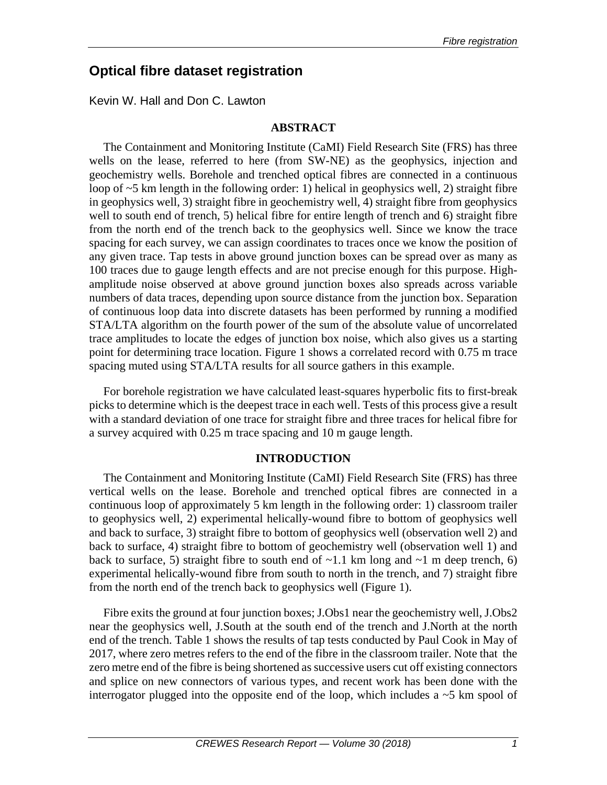# **Optical fibre dataset registration**

Kevin W. Hall and Don C. Lawton

## **ABSTRACT**

The Containment and Monitoring Institute (CaMI) Field Research Site (FRS) has three wells on the lease, referred to here (from SW-NE) as the geophysics, injection and geochemistry wells. Borehole and trenched optical fibres are connected in a continuous loop of  $\sim$ 5 km length in the following order: 1) helical in geophysics well, 2) straight fibre in geophysics well, 3) straight fibre in geochemistry well, 4) straight fibre from geophysics well to south end of trench, 5) helical fibre for entire length of trench and 6) straight fibre from the north end of the trench back to the geophysics well. Since we know the trace spacing for each survey, we can assign coordinates to traces once we know the position of any given trace. Tap tests in above ground junction boxes can be spread over as many as 100 traces due to gauge length effects and are not precise enough for this purpose. Highamplitude noise observed at above ground junction boxes also spreads across variable numbers of data traces, depending upon source distance from the junction box. Separation of continuous loop data into discrete datasets has been performed by running a modified STA/LTA algorithm on the fourth power of the sum of the absolute value of uncorrelated trace amplitudes to locate the edges of junction box noise, which also gives us a starting point for determining trace location. Figure 1 shows a correlated record with 0.75 m trace spacing muted using STA/LTA results for all source gathers in this example.

For borehole registration we have calculated least-squares hyperbolic fits to first-break picks to determine which is the deepest trace in each well. Tests of this process give a result with a standard deviation of one trace for straight fibre and three traces for helical fibre for a survey acquired with 0.25 m trace spacing and 10 m gauge length.

#### **INTRODUCTION**

The Containment and Monitoring Institute (CaMI) Field Research Site (FRS) has three vertical wells on the lease. Borehole and trenched optical fibres are connected in a continuous loop of approximately 5 km length in the following order: 1) classroom trailer to geophysics well, 2) experimental helically-wound fibre to bottom of geophysics well and back to surface, 3) straight fibre to bottom of geophysics well (observation well 2) and back to surface, 4) straight fibre to bottom of geochemistry well (observation well 1) and back to surface, 5) straight fibre to south end of  $\sim$ 1.1 km long and  $\sim$ 1 m deep trench, 6) experimental helically-wound fibre from south to north in the trench, and 7) straight fibre from the north end of the trench back to geophysics well (Figure 1).

Fibre exits the ground at four junction boxes; J.Obs1 near the geochemistry well, J.Obs2 near the geophysics well, J.South at the south end of the trench and J.North at the north end of the trench. Table 1 shows the results of tap tests conducted by Paul Cook in May of 2017, where zero metres refers to the end of the fibre in the classroom trailer. Note that the zero metre end of the fibre is being shortened as successive users cut off existing connectors and splice on new connectors of various types, and recent work has been done with the interrogator plugged into the opposite end of the loop, which includes a  $\sim$  5 km spool of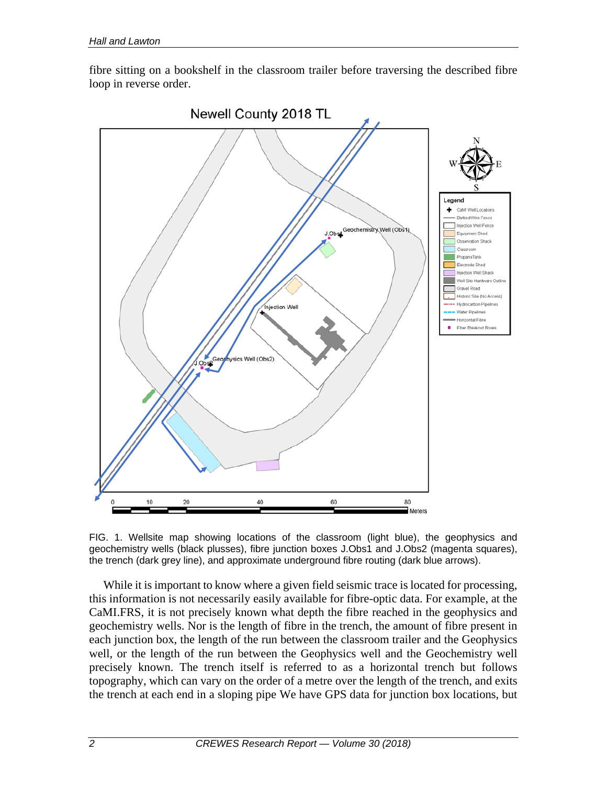fibre sitting on a bookshelf in the classroom trailer before traversing the described fibre loop in reverse order.



FIG. 1. Wellsite map showing locations of the classroom (light blue), the geophysics and geochemistry wells (black plusses), fibre junction boxes J.Obs1 and J.Obs2 (magenta squares), the trench (dark grey line), and approximate underground fibre routing (dark blue arrows).

While it is important to know where a given field seismic trace is located for processing, this information is not necessarily easily available for fibre-optic data. For example, at the CaMI.FRS, it is not precisely known what depth the fibre reached in the geophysics and geochemistry wells. Nor is the length of fibre in the trench, the amount of fibre present in each junction box, the length of the run between the classroom trailer and the Geophysics well, or the length of the run between the Geophysics well and the Geochemistry well precisely known. The trench itself is referred to as a horizontal trench but follows topography, which can vary on the order of a metre over the length of the trench, and exits the trench at each end in a sloping pipe We have GPS data for junction box locations, but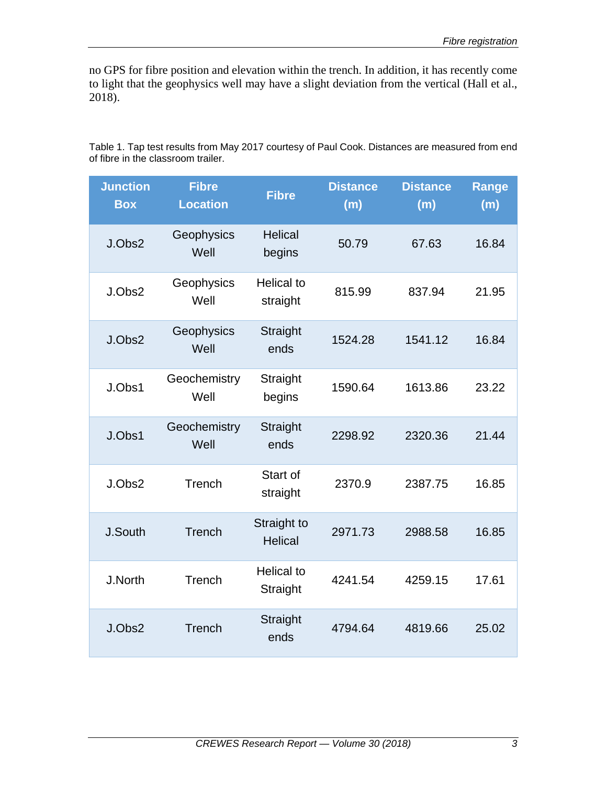no GPS for fibre position and elevation within the trench. In addition, it has recently come to light that the geophysics well may have a slight deviation from the vertical (Hall et al., 2018).

Table 1. Tap test results from May 2017 courtesy of Paul Cook. Distances are measured from end of fibre in the classroom trailer.

| <b>Junction</b><br><b>Box</b> | <b>Fibre</b><br><b>Location</b> | <b>Fibre</b>                  | <b>Distance</b><br>(m) | <b>Distance</b><br>(m) | <b>Range</b><br>(m) |
|-------------------------------|---------------------------------|-------------------------------|------------------------|------------------------|---------------------|
| J.Obs2                        | Geophysics<br>Well              | <b>Helical</b><br>begins      | 50.79                  | 67.63                  | 16.84               |
| J.Obs2                        | Geophysics<br>Well              | <b>Helical to</b><br>straight | 815.99                 | 837.94                 | 21.95               |
| J.Obs2                        | Geophysics<br>Well              | Straight<br>ends              | 1524.28                | 1541.12                | 16.84               |
| J.Obs1                        | Geochemistry<br>Well            | Straight<br>begins            | 1590.64                | 1613.86                | 23.22               |
| J.Obs1                        | Geochemistry<br>Well            | Straight<br>ends              | 2298.92                | 2320.36                | 21.44               |
| J.Obs2                        | Trench                          | Start of<br>straight          | 2370.9                 | 2387.75                | 16.85               |
| J.South                       | <b>Trench</b>                   | Straight to<br><b>Helical</b> | 2971.73                | 2988.58                | 16.85               |
| J.North                       | Trench                          | <b>Helical to</b><br>Straight | 4241.54                | 4259.15                | 17.61               |
| J.Obs2                        | Trench                          | Straight<br>ends              | 4794.64                | 4819.66                | 25.02               |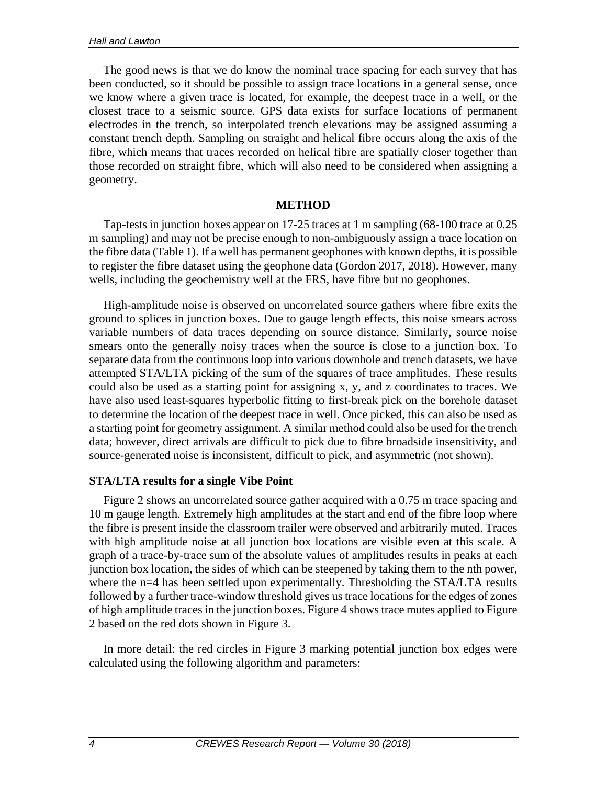The good news is that we do know the nominal trace spacing for each survey that has been conducted, so it should be possible to assign trace locations in a general sense, once we know where a given trace is located, for example, the deepest trace in a well, or the closest trace to a seismic source. GPS data exists for surface locations of permanent electrodes in the trench, so interpolated trench elevations may be assigned assuming a constant trench depth. Sampling on straight and helical fibre occurs along the axis of the fibre, which means that traces recorded on helical fibre are spatially closer together than those recorded on straight fibre, which will also need to be considered when assigning a geometry.

## **METHOD**

Tap-tests in junction boxes appear on 17-25 traces at 1 m sampling (68-100 trace at 0.25 m sampling) and may not be precise enough to non-ambiguously assign a trace location on the fibre data (Table 1). If a well has permanent geophones with known depths, it is possible to register the fibre dataset using the geophone data (Gordon 2017, 2018). However, many wells, including the geochemistry well at the FRS, have fibre but no geophones.

High-amplitude noise is observed on uncorrelated source gathers where fibre exits the ground to splices in junction boxes. Due to gauge length effects, this noise smears across variable numbers of data traces depending on source distance. Similarly, source noise smears onto the generally noisy traces when the source is close to a junction box. To separate data from the continuous loop into various downhole and trench datasets, we have attempted STA/LTA picking of the sum of the squares of trace amplitudes. These results could also be used as a starting point for assigning x, y, and z coordinates to traces. We have also used least-squares hyperbolic fitting to first-break pick on the borehole dataset to determine the location of the deepest trace in well. Once picked, this can also be used as a starting point for geometry assignment. A similar method could also be used for the trench data; however, direct arrivals are difficult to pick due to fibre broadside insensitivity, and source-generated noise is inconsistent, difficult to pick, and asymmetric (not shown).

# **STA/LTA results for a single Vibe Point**

Figure 2 shows an uncorrelated source gather acquired with a 0.75 m trace spacing and 10 m gauge length. Extremely high amplitudes at the start and end of the fibre loop where the fibre is present inside the classroom trailer were observed and arbitrarily muted. Traces with high amplitude noise at all junction box locations are visible even at this scale. A graph of a trace-by-trace sum of the absolute values of amplitudes results in peaks at each junction box location, the sides of which can be steepened by taking them to the nth power, where the n=4 has been settled upon experimentally. Thresholding the STA/LTA results followed by a further trace-window threshold gives us trace locations for the edges of zones of high amplitude traces in the junction boxes. Figure 4 shows trace mutes applied to Figure 2 based on the red dots shown in Figure 3.

In more detail: the red circles in Figure 3 marking potential junction box edges were calculated using the following algorithm and parameters: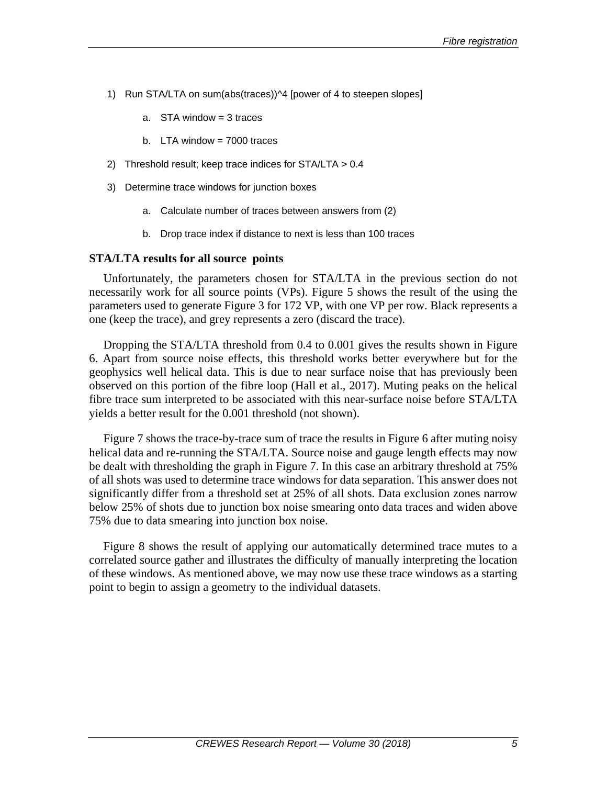- 1) Run STA/LTA on sum(abs(traces))<sup>1</sup>4 [power of 4 to steepen slopes]
	- a. STA window = 3 traces
	- b. LTA window  $= 7000$  traces
- 2) Threshold result; keep trace indices for STA/LTA > 0.4
- 3) Determine trace windows for junction boxes
	- a. Calculate number of traces between answers from (2)
	- b. Drop trace index if distance to next is less than 100 traces

#### **STA/LTA results for all source points**

Unfortunately, the parameters chosen for STA/LTA in the previous section do not necessarily work for all source points (VPs). Figure 5 shows the result of the using the parameters used to generate Figure 3 for 172 VP, with one VP per row. Black represents a one (keep the trace), and grey represents a zero (discard the trace).

Dropping the STA/LTA threshold from 0.4 to 0.001 gives the results shown in Figure 6. Apart from source noise effects, this threshold works better everywhere but for the geophysics well helical data. This is due to near surface noise that has previously been observed on this portion of the fibre loop (Hall et al., 2017). Muting peaks on the helical fibre trace sum interpreted to be associated with this near-surface noise before STA/LTA yields a better result for the 0.001 threshold (not shown).

Figure 7 shows the trace-by-trace sum of trace the results in Figure 6 after muting noisy helical data and re-running the STA/LTA. Source noise and gauge length effects may now be dealt with thresholding the graph in Figure 7. In this case an arbitrary threshold at 75% of all shots was used to determine trace windows for data separation. This answer does not significantly differ from a threshold set at 25% of all shots. Data exclusion zones narrow below 25% of shots due to junction box noise smearing onto data traces and widen above 75% due to data smearing into junction box noise.

Figure 8 shows the result of applying our automatically determined trace mutes to a correlated source gather and illustrates the difficulty of manually interpreting the location of these windows. As mentioned above, we may now use these trace windows as a starting point to begin to assign a geometry to the individual datasets.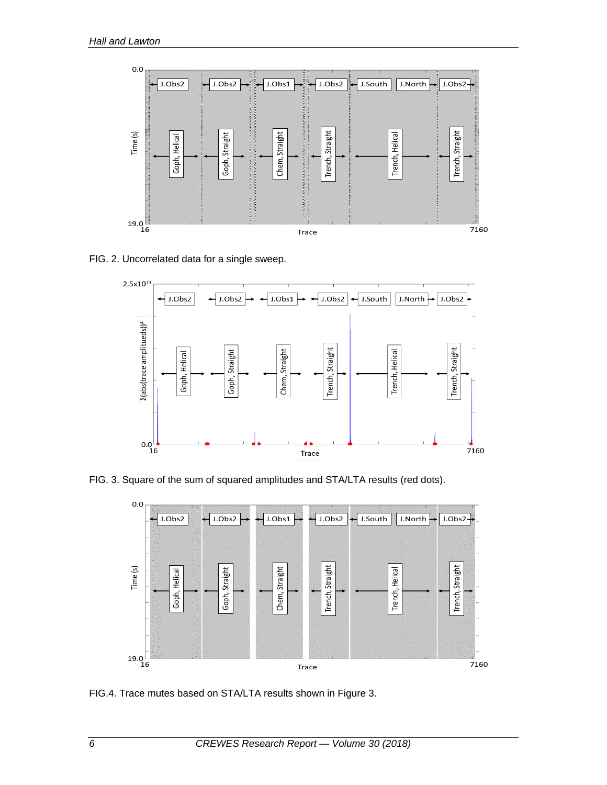

FIG. 2. Uncorrelated data for a single sweep.



FIG. 3. Square of the sum of squared amplitudes and STA/LTA results (red dots).



FIG.4. Trace mutes based on STA/LTA results shown in Figure 3.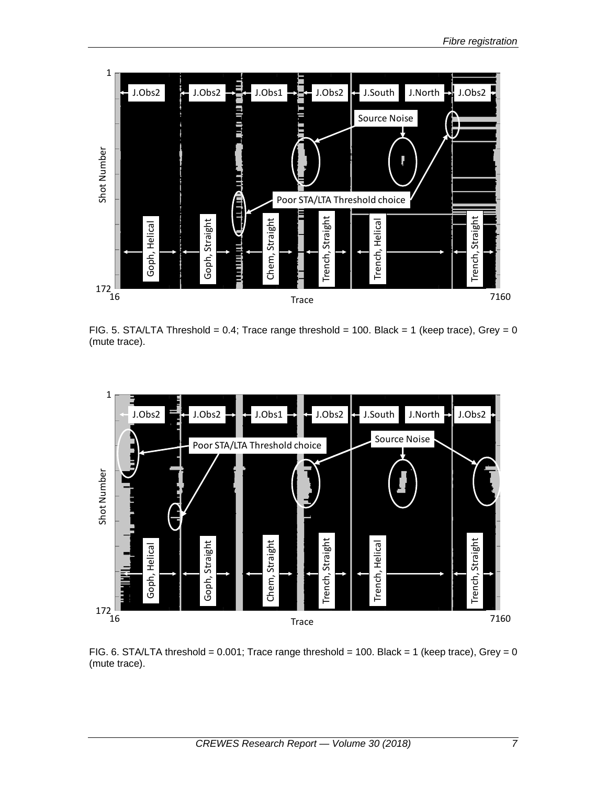

FIG. 5. STA/LTA Threshold = 0.4; Trace range threshold = 100. Black = 1 (keep trace), Grey = 0 (mute trace).



FIG. 6. STA/LTA threshold =  $0.001$ ; Trace range threshold = 100. Black = 1 (keep trace), Grey = 0 (mute trace).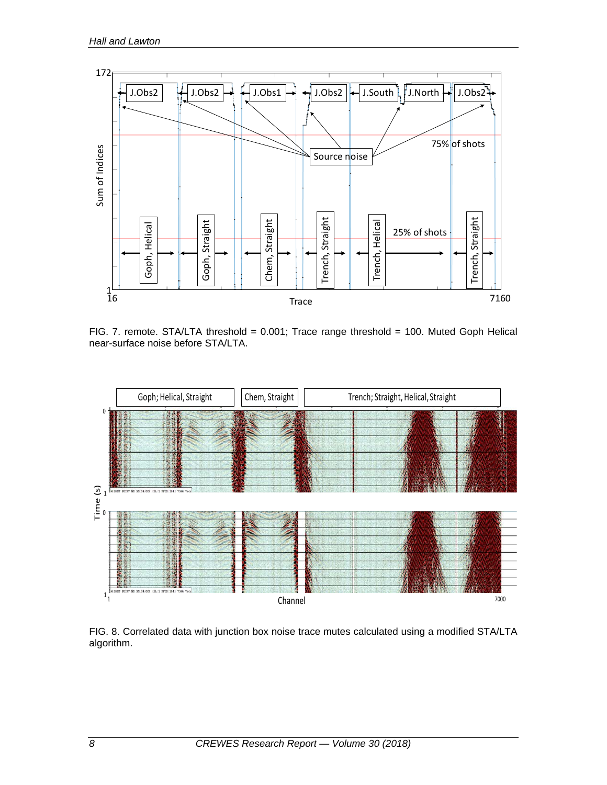

FIG. 7. remote. STA/LTA threshold = 0.001; Trace range threshold = 100. Muted Goph Helical near-surface noise before STA/LTA.



FIG. 8. Correlated data with junction box noise trace mutes calculated using a modified STA/LTA algorithm.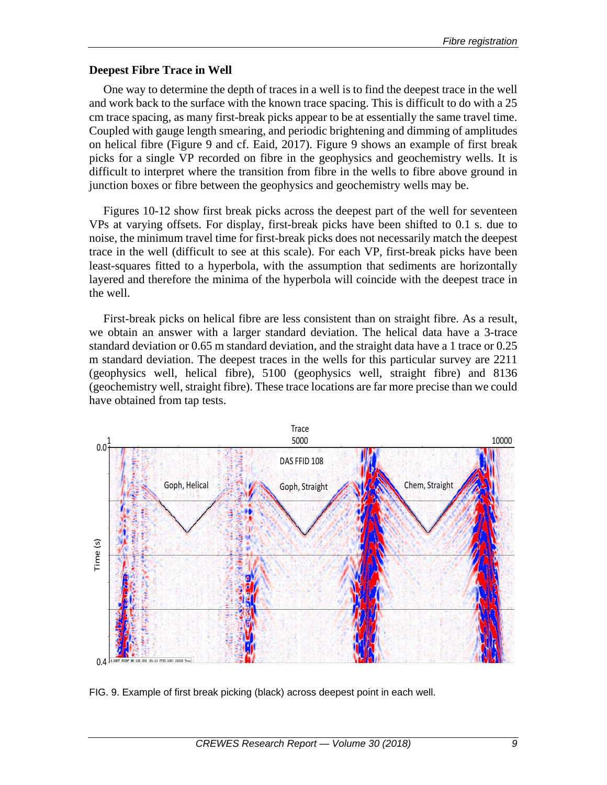## **Deepest Fibre Trace in Well**

One way to determine the depth of traces in a well is to find the deepest trace in the well and work back to the surface with the known trace spacing. This is difficult to do with a 25 cm trace spacing, as many first-break picks appear to be at essentially the same travel time. Coupled with gauge length smearing, and periodic brightening and dimming of amplitudes on helical fibre (Figure 9 and cf. Eaid, 2017). Figure 9 shows an example of first break picks for a single VP recorded on fibre in the geophysics and geochemistry wells. It is difficult to interpret where the transition from fibre in the wells to fibre above ground in junction boxes or fibre between the geophysics and geochemistry wells may be.

Figures 10-12 show first break picks across the deepest part of the well for seventeen VPs at varying offsets. For display, first-break picks have been shifted to 0.1 s. due to noise, the minimum travel time for first-break picks does not necessarily match the deepest trace in the well (difficult to see at this scale). For each VP, first-break picks have been least-squares fitted to a hyperbola, with the assumption that sediments are horizontally layered and therefore the minima of the hyperbola will coincide with the deepest trace in the well.

First-break picks on helical fibre are less consistent than on straight fibre. As a result, we obtain an answer with a larger standard deviation. The helical data have a 3-trace standard deviation or 0.65 m standard deviation, and the straight data have a 1 trace or 0.25 m standard deviation. The deepest traces in the wells for this particular survey are 2211 (geophysics well, helical fibre), 5100 (geophysics well, straight fibre) and 8136 (geochemistry well, straight fibre). These trace locations are far more precise than we could have obtained from tap tests.



FIG. 9. Example of first break picking (black) across deepest point in each well.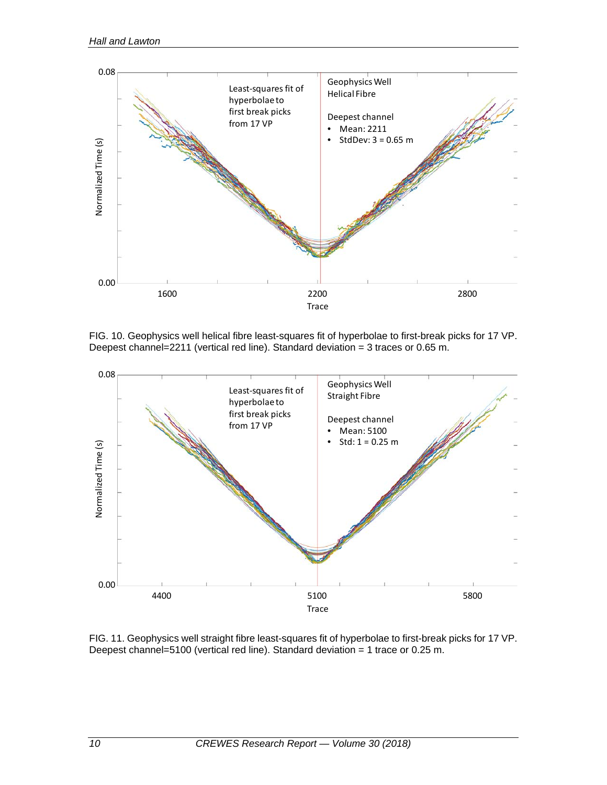

FIG. 10. Geophysics well helical fibre least-squares fit of hyperbolae to first-break picks for 17 VP. Deepest channel=2211 (vertical red line). Standard deviation = 3 traces or 0.65 m.



FIG. 11. Geophysics well straight fibre least-squares fit of hyperbolae to first-break picks for 17 VP. Deepest channel=5100 (vertical red line). Standard deviation = 1 trace or 0.25 m.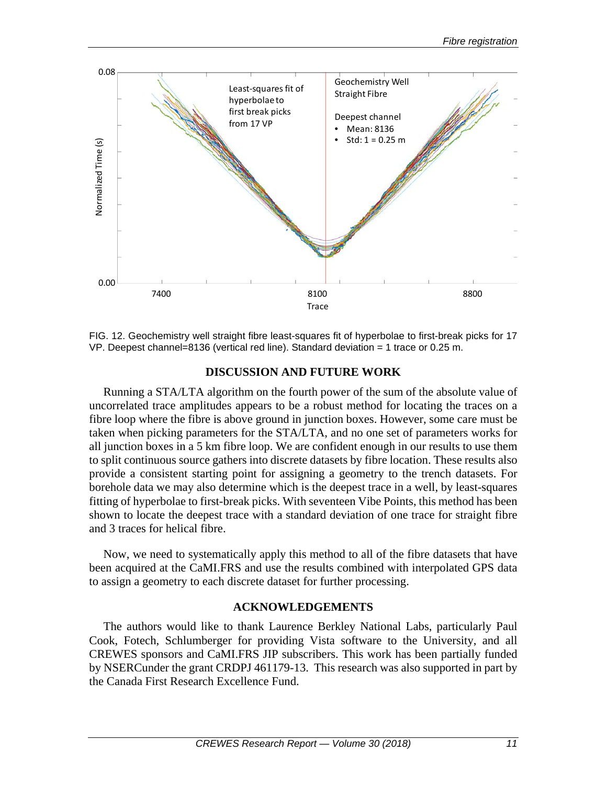

FIG. 12. Geochemistry well straight fibre least-squares fit of hyperbolae to first-break picks for 17 VP. Deepest channel=8136 (vertical red line). Standard deviation = 1 trace or 0.25 m.

# **DISCUSSION AND FUTURE WORK**

Running a STA/LTA algorithm on the fourth power of the sum of the absolute value of uncorrelated trace amplitudes appears to be a robust method for locating the traces on a fibre loop where the fibre is above ground in junction boxes. However, some care must be taken when picking parameters for the STA/LTA, and no one set of parameters works for all junction boxes in a 5 km fibre loop. We are confident enough in our results to use them to split continuous source gathers into discrete datasets by fibre location. These results also provide a consistent starting point for assigning a geometry to the trench datasets. For borehole data we may also determine which is the deepest trace in a well, by least-squares fitting of hyperbolae to first-break picks. With seventeen Vibe Points, this method has been shown to locate the deepest trace with a standard deviation of one trace for straight fibre and 3 traces for helical fibre.

Now, we need to systematically apply this method to all of the fibre datasets that have been acquired at the CaMI.FRS and use the results combined with interpolated GPS data to assign a geometry to each discrete dataset for further processing.

# **ACKNOWLEDGEMENTS**

The authors would like to thank Laurence Berkley National Labs, particularly Paul Cook, Fotech, Schlumberger for providing Vista software to the University, and all CREWES sponsors and CaMI.FRS JIP subscribers. This work has been partially funded by NSERCunder the grant CRDPJ 461179-13. This research was also supported in part by the Canada First Research Excellence Fund.